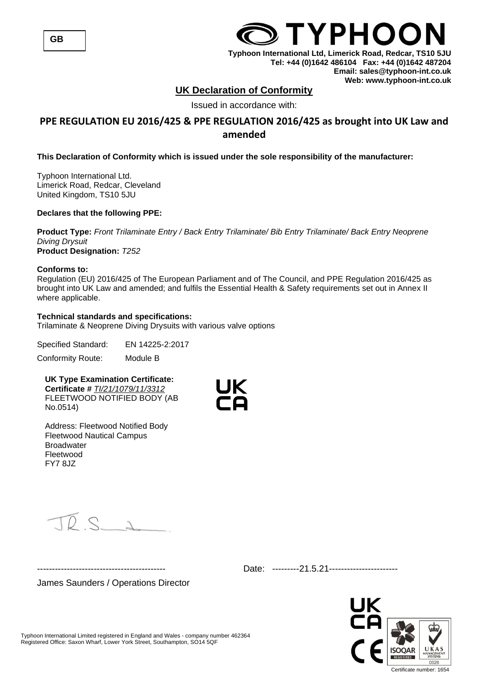## **UK Declaration of Conformity**

Issued in accordance with:

## **PPE REGULATION EU 2016/425 & PPE REGULATION 2016/425 as brought into UK Law and amended**

## **This Declaration of Conformity which is issued under the sole responsibility of the manufacturer:**

Typhoon International Ltd. Limerick Road, Redcar, Cleveland United Kingdom, TS10 5JU

## **Declares that the following PPE:**

**Product Type:** *Front Trilaminate Entry / Back Entry Trilaminate/ Bib Entry Trilaminate/ Back Entry Neoprene Diving Drysuit* **Product Designation:** *T252*

#### **Conforms to:**

Regulation (EU) 2016/425 of The European Parliament and of The Council, and PPE Regulation 2016/425 as brought into UK Law and amended; and fulfils the Essential Health & Safety requirements set out in Annex II where applicable.

## **Technical standards and specifications:**

Trilaminate & Neoprene Diving Drysuits with various valve options

Specified Standard: EN 14225-2:2017 Conformity Route: Module B

**UK Type Examination Certificate: Certificate #** *TI/21/1079/11/3312* FLEETWOOD NOTIFIED BODY (AB No.0514)



Address: Fleetwood Notified Body Fleetwood Nautical Campus **Broadwater** Fleetwood FY7 8JZ

 $D S$ 

James Saunders / Operations Director

------------------------------------------- Date: ---------21.5.21-----------------------

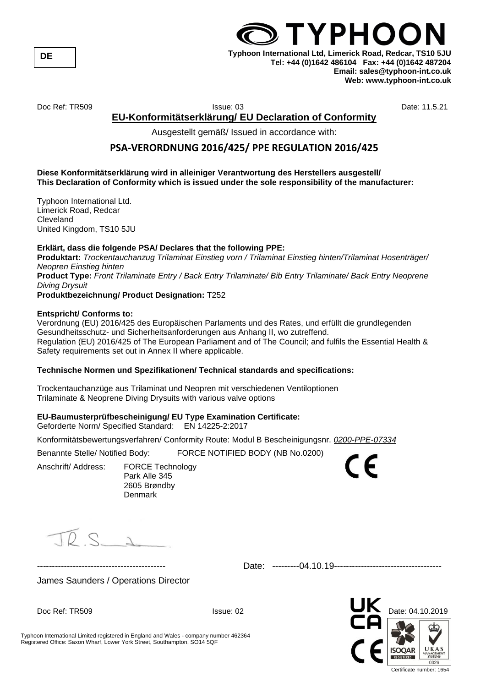**DE**

## **TYPHOC Typhoon International Ltd, Limerick Road, Redcar, TS10 5JU Tel: +44 (0)1642 486104 Fax: +44 (0)1642 487204 Email: sales@typhoon-int.co.uk Web: www.typhoon-int.co.uk**

Doc Ref: TR509 Issue: 03 Date: 11.5.21

## **EU-Konformitätserklärung/ EU Declaration of Conformity**

Ausgestellt gemäß/ Issued in accordance with:

## **PSA-VERORDNUNG 2016/425/ PPE REGULATION 2016/425**

#### **Diese Konformitätserklärung wird in alleiniger Verantwortung des Herstellers ausgestell/ This Declaration of Conformity which is issued under the sole responsibility of the manufacturer:**

Typhoon International Ltd. Limerick Road, Redcar Cleveland United Kingdom, TS10 5JU

## **Erklärt, dass die folgende PSA/ Declares that the following PPE:**

**Produktart:** *Trockentauchanzug Trilaminat Einstieg vorn / Trilaminat Einstieg hinten/Trilaminat Hosenträger/ Neopren Einstieg hinten* **Product Type:** *Front Trilaminate Entry / Back Entry Trilaminate/ Bib Entry Trilaminate/ Back Entry Neoprene Diving Drysuit*

**Produktbezeichnung/ Product Designation:** T252

#### **Entspricht/ Conforms to:**

Verordnung (EU) 2016/425 des Europäischen Parlaments und des Rates, und erfüllt die grundlegenden Gesundheitsschutz- und Sicherheitsanforderungen aus Anhang II, wo zutreffend. Regulation (EU) 2016/425 of The European Parliament and of The Council; and fulfils the Essential Health & Safety requirements set out in Annex II where applicable.

## **Technische Normen und Spezifikationen/ Technical standards and specifications:**

Trockentauchanzüge aus Trilaminat und Neopren mit verschiedenen Ventiloptionen Trilaminate & Neoprene Diving Drysuits with various valve options

## **EU-Baumusterprüfbescheinigung/ EU Type Examination Certificate:**

Geforderte Norm/ Specified Standard: EN 14225-2:2017

Konformitätsbewertungsverfahren/ Conformity Route: Modul B Bescheinigungsnr. *0200-PPE-07334*

Benannte Stelle/ Notified Body: FORCE NOTIFIED BODY (NB No.0200)

Anschrift/ Address: FORCE Technology

Park Alle 345 2605 Brøndby **Denmark** 

 $\bigcirc$ 

------------------------------------------- Date: ---------04.10.19------------------------------------

James Saunders / Operations Director



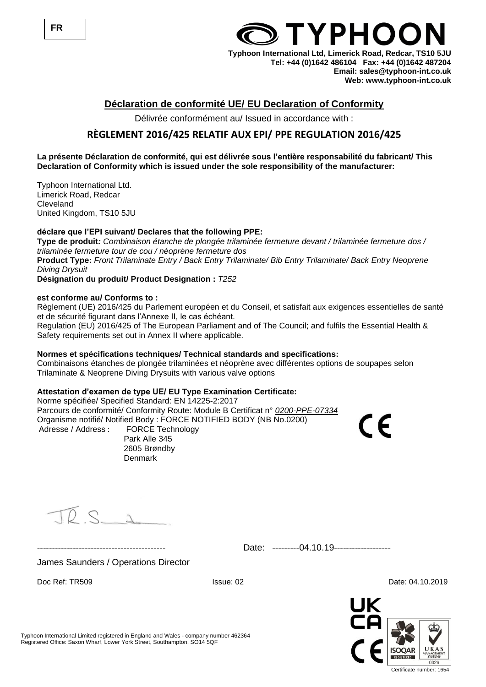

## **Déclaration de conformité UE/ EU Declaration of Conformity**

Délivrée conformément au/ Issued in accordance with :

## **RÈGLEMENT 2016/425 RELATIF AUX EPI/ PPE REGULATION 2016/425**

## **La présente Déclaration de conformité, qui est délivrée sous l'entière responsabilité du fabricant/ This Declaration of Conformity which is issued under the sole responsibility of the manufacturer:**

Typhoon International Ltd. Limerick Road, Redcar Cleveland United Kingdom, TS10 5JU

## **déclare que l'EPI suivant/ Declares that the following PPE:**

**Type de produit***: Combinaison étanche de plongée trilaminée fermeture devant / trilaminée fermeture dos / trilaminée fermeture tour de cou / néoprène fermeture dos* **Product Type:** *Front Trilaminate Entry / Back Entry Trilaminate/ Bib Entry Trilaminate/ Back Entry Neoprene Diving Drysuit*

**Désignation du produit/ Product Designation :** *T252*

#### **est conforme au/ Conforms to :**

Règlement (UE) 2016/425 du Parlement européen et du Conseil, et satisfait aux exigences essentielles de santé et de sécurité figurant dans l'Annexe II, le cas échéant.

Regulation (EU) 2016/425 of The European Parliament and of The Council; and fulfils the Essential Health & Safety requirements set out in Annex II where applicable.

## **Normes et spécifications techniques/ Technical standards and specifications:**

Combinaisons étanches de plongée trilaminées et néoprène avec différentes options de soupapes selon Trilaminate & Neoprene Diving Drysuits with various valve options

## **Attestation d'examen de type UE/ EU Type Examination Certificate:**

Norme spécifiée/ Specified Standard: EN 14225-2:2017 Parcours de conformité/ Conformity Route: Module B Certificat n° *0200-PPE-07334* Organisme notifié/ Notified Body : FORCE NOTIFIED BODY (NB No.0200) Adresse / Address : FORCE Technology

Park Alle 345 2605 Brøndby Denmark

TOS

------------------------------------------- Date: ---------04.10.19-------------------

James Saunders / Operations Director



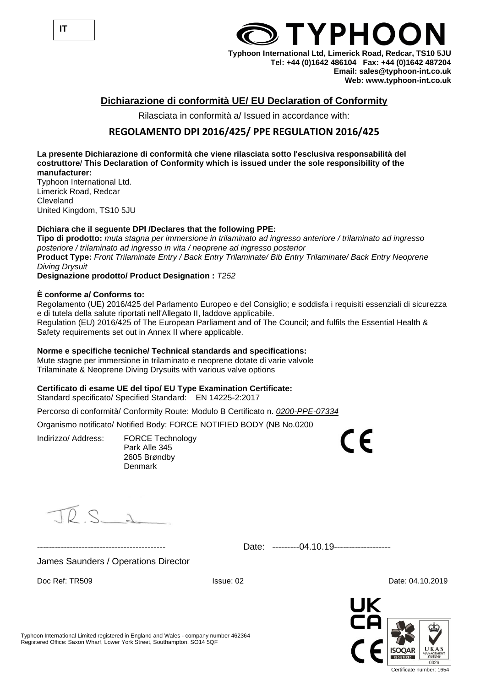

## **TYPHOC Typhoon International Ltd, Limerick Road, Redcar, TS10 5JU**

**Tel: +44 (0)1642 486104 Fax: +44 (0)1642 487204 Email: sales@typhoon-int.co.uk Web: www.typhoon-int.co.uk** 

## **Dichiarazione di conformità UE/ EU Declaration of Conformity**

Rilasciata in conformità a/ Issued in accordance with:

## **REGOLAMENTO DPI 2016/425/ PPE REGULATION 2016/425**

**La presente Dichiarazione di conformità che viene rilasciata sotto l'esclusiva responsabilità del costruttore**/ **This Declaration of Conformity which is issued under the sole responsibility of the manufacturer:**

Typhoon International Ltd. Limerick Road, Redcar Cleveland United Kingdom, TS10 5JU

## **Dichiara che il seguente DPI /Declares that the following PPE:**

**Tipo di prodotto:** *muta stagna per immersione in trilaminato ad ingresso anteriore / trilaminato ad ingresso posteriore / trilaminato ad ingresso in vita / neoprene ad ingresso posterior* **Product Type:** *Front Trilaminate Entry / Back Entry Trilaminate/ Bib Entry Trilaminate/ Back Entry Neoprene Diving Drysuit*

**Designazione prodotto/ Product Designation :** *T252*

## **È conforme a/ Conforms to:**

Regolamento (UE) 2016/425 del Parlamento Europeo e del Consiglio; e soddisfa i requisiti essenziali di sicurezza e di tutela della salute riportati nell'Allegato II, laddove applicabile. Regulation (EU) 2016/425 of The European Parliament and of The Council; and fulfils the Essential Health & Safety requirements set out in Annex II where applicable.

## **Norme e specifiche tecniche/ Technical standards and specifications:**

Mute stagne per immersione in trilaminato e neoprene dotate di varie valvole Trilaminate & Neoprene Diving Drysuits with various valve options

## **Certificato di esame UE del tipo/ EU Type Examination Certificate:**

Standard specificato/ Specified Standard: EN 14225-2:2017

Percorso di conformità/ Conformity Route: Modulo B Certificato n. *0200-PPE-07334*

Organismo notificato/ Notified Body: FORCE NOTIFIED BODY (NB No.0200

Indirizzo/ Address: FORCE Technology Park Alle 345 2605 Brøndby Denmark

 $\overline{\phantom{a}}$ 

 $DS_A$ 

James Saunders / Operations Director

------------------------------------------- Date: ---------04.10.19-------------------

Doc Ref: TR509 **ISSUE: 02** Date: 04.10.2019

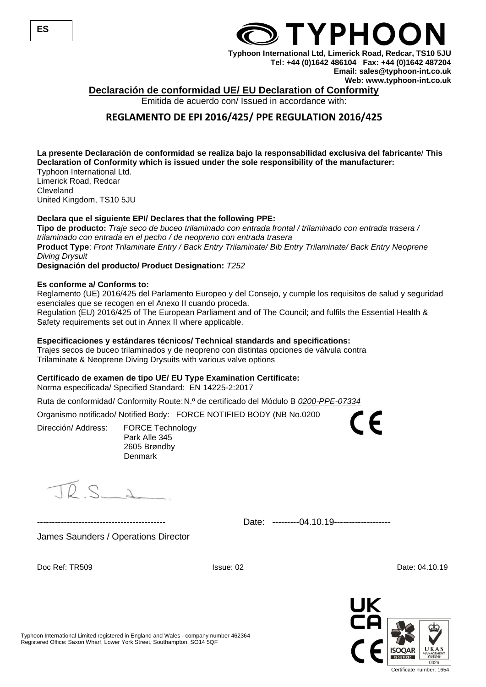

## **Declaración de conformidad UE/ EU Declaration of Conformity**

Emitida de acuerdo con/ Issued in accordance with:

## **REGLAMENTO DE EPI 2016/425/ PPE REGULATION 2016/425**

**La presente Declaración de conformidad se realiza bajo la responsabilidad exclusiva del fabricante**/ **This Declaration of Conformity which is issued under the sole responsibility of the manufacturer:** Typhoon International Ltd.

Limerick Road, Redcar Cleveland United Kingdom, TS10 5JU

## **Declara que el siguiente EPI/ Declares that the following PPE:**

**Tipo de producto:** *Traje seco de buceo trilaminado con entrada frontal / trilaminado con entrada trasera / trilaminado con entrada en el pecho / de neopreno con entrada trasera* **Product Type**: *Front Trilaminate Entry / Back Entry Trilaminate/ Bib Entry Trilaminate/ Back Entry Neoprene Diving Drysuit*

**Designación del producto/ Product Designation:** *T252*

#### **Es conforme a/ Conforms to:**

Reglamento (UE) 2016/425 del Parlamento Europeo y del Consejo, y cumple los requisitos de salud y seguridad esenciales que se recogen en el Anexo II cuando proceda.

Regulation (EU) 2016/425 of The European Parliament and of The Council; and fulfils the Essential Health & Safety requirements set out in Annex II where applicable.

#### **Especificaciones y estándares técnicos/ Technical standards and specifications:**

Trajes secos de buceo trilaminados y de neopreno con distintas opciones de válvula contra Trilaminate & Neoprene Diving Drysuits with various valve options

#### **Certificado de examen de tipo UE/ EU Type Examination Certificate:**

Norma especificada/ Specified Standard: EN 14225-2:2017

Ruta de conformidad/ Conformity Route:N.º de certificado del Módulo B *0200-PPE-07334*

Organismo notificado/ Notified Body: FORCE NOTIFIED BODY (NB No.0200

Dirección/ Address: FORCE Technology Park Alle 345 2605 Brøndby Denmark

 $\overline{D}$  S  $\Delta$ 

Date: ---------04.10.19-------------------

James Saunders / Operations Director

Doc Ref: TR509 **ISSUE: 02** Date: 04.10.19

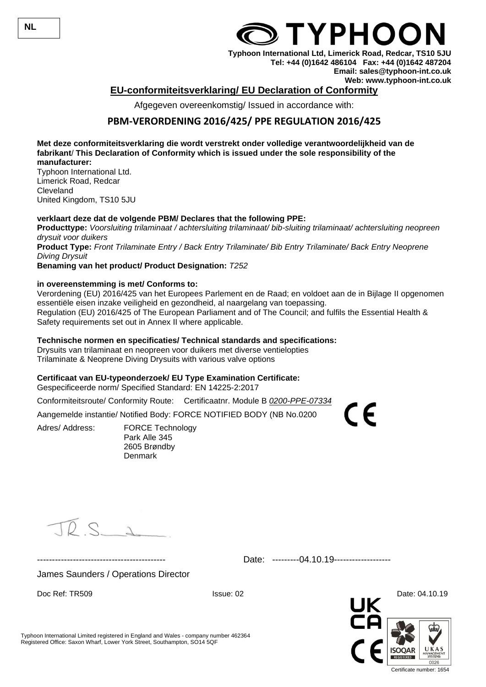## **EU-conformiteitsverklaring/ EU Declaration of Conformity**

Afgegeven overeenkomstig/ Issued in accordance with:

## **PBM-VERORDENING 2016/425/ PPE REGULATION 2016/425**

**Met deze conformiteitsverklaring die wordt verstrekt onder volledige verantwoordelijkheid van de fabrikant**/ **This Declaration of Conformity which is issued under the sole responsibility of the manufacturer:**

Typhoon International Ltd. Limerick Road, Redcar Cleveland United Kingdom, TS10 5JU

## **verklaart deze dat de volgende PBM/ Declares that the following PPE:**

**Producttype:** *Voorsluiting trilaminaat / achtersluiting trilaminaat/ bib-sluiting trilaminaat/ achtersluiting neopreen drysuit voor duikers* **Product Type:** *Front Trilaminate Entry / Back Entry Trilaminate/ Bib Entry Trilaminate/ Back Entry Neoprene*

*Diving Drysuit*

**Benaming van het product/ Product Designation:** *T252*

#### **in overeenstemming is met/ Conforms to:**

Verordening (EU) 2016/425 van het Europees Parlement en de Raad; en voldoet aan de in Bijlage II opgenomen essentiële eisen inzake veiligheid en gezondheid, al naargelang van toepassing. Regulation (EU) 2016/425 of The European Parliament and of The Council; and fulfils the Essential Health & Safety requirements set out in Annex II where applicable.

#### **Technische normen en specificaties/ Technical standards and specifications:**

Drysuits van trilaminaat en neopreen voor duikers met diverse ventielopties Trilaminate & Neoprene Diving Drysuits with various valve options

#### **Certificaat van EU-typeonderzoek/ EU Type Examination Certificate:**

Gespecificeerde norm/ Specified Standard: EN 14225-2:2017

Conformiteitsroute/ Conformity Route: Certificaatnr. Module B *0200-PPE-07334*

Aangemelde instantie/ Notified Body: FORCE NOTIFIED BODY (NB No.0200

Adres/ Address: FORCE Technology

Park Alle 345 2605 Brøndby **Denmark** 

 $D S_{\perp}$ 

Date: ---------04.10.19-------------------

James Saunders / Operations Director

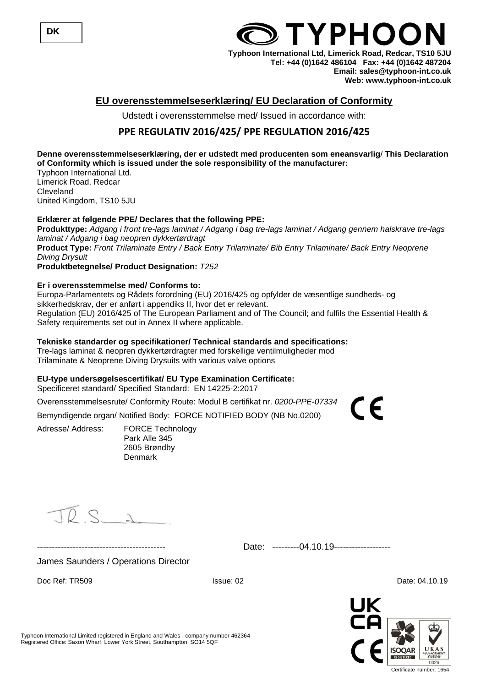

# **TYPHOC**

**Typhoon International Ltd, Limerick Road, Redcar, TS10 5JU Tel: +44 (0)1642 486104 Fax: +44 (0)1642 487204 Email: sales@typhoon-int.co.uk Web: www.typhoon-int.co.uk** 

## **EU overensstemmelseserklæring/ EU Declaration of Conformity**

Udstedt i overensstemmelse med/ Issued in accordance with:

## **PPE REGULATIV 2016/425/ PPE REGULATION 2016/425**

#### **Denne overensstemmelseserklæring, der er udstedt med producenten som eneansvarlig**/ **This Declaration of Conformity which is issued under the sole responsibility of the manufacturer:**

Typhoon International Ltd. Limerick Road, Redcar Cleveland United Kingdom, TS10 5JU

## **Erklærer at følgende PPE/ Declares that the following PPE:**

**Produkttype:** *Adgang i front tre-lags laminat / Adgang i bag tre-lags laminat / Adgang gennem halskrave tre-lags laminat / Adgang i bag neopren dykkertørdragt* **Product Type:** *Front Trilaminate Entry / Back Entry Trilaminate/ Bib Entry Trilaminate/ Back Entry Neoprene Diving Drysuit*

**Produktbetegnelse/ Product Designation:** *T252*

## **Er i overensstemmelse med/ Conforms to:**

Europa-Parlamentets og Rådets forordning (EU) 2016/425 og opfylder de væsentlige sundheds- og sikkerhedskrav, der er anført i appendiks II, hvor det er relevant. Regulation (EU) 2016/425 of The European Parliament and of The Council; and fulfils the Essential Health & Safety requirements set out in Annex II where applicable.

## **Tekniske standarder og specifikationer/ Technical standards and specifications:**

Tre-lags laminat & neopren dykkertørdragter med forskellige ventilmuligheder mod Trilaminate & Neoprene Diving Drysuits with various valve options

## **EU-type undersøgelsescertifikat/ EU Type Examination Certificate:**

Specificeret standard/ Specified Standard: EN 14225-2:2017

Overensstemmelsesrute/ Conformity Route: Modul B certifikat nr. *0200-PPE-07334*

Bemyndigende organ/ Notified Body: FORCE NOTIFIED BODY (NB No.0200)

Adresse/ Address: FORCE Technology Park Alle 345 2605 Brøndby Denmark

 $DS_{\Delta}$ 

------------------------------------------- Date: ---------04.10.19-------------------

James Saunders / Operations Director

Doc Ref: TR509 **ISSUE: 02** Date: 04.10.19

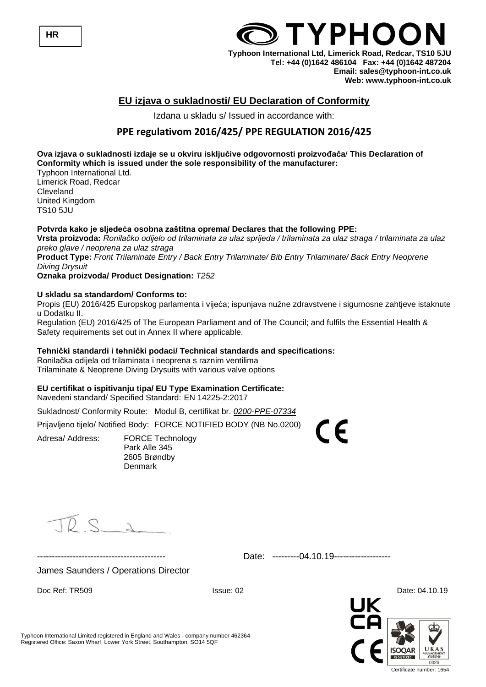

## **EU izjava o sukladnosti/ EU Declaration of Conformity**

Izdana u skladu s/ Issued in accordance with:

## **PPE regulativom 2016/425/ PPE REGULATION 2016/425**

**Ova izjava o sukladnosti izdaje se u okviru isključive odgovornosti proizvođača**/ **This Declaration of Conformity which is issued under the sole responsibility of the manufacturer:**

Typhoon International Ltd. Limerick Road, Redcar **Cleveland** United Kingdom TS10 5JU

#### **Potvrda kako je sljedeća osobna zaštitna oprema/ Declares that the following PPE:**

**Vrsta proizvoda:** *Ronilačko odijelo od trilaminata za ulaz sprijeda / trilaminata za ulaz straga / trilaminata za ulaz preko glave / neoprena za ulaz straga*

**Product Type:** *Front Trilaminate Entry / Back Entry Trilaminate/ Bib Entry Trilaminate/ Back Entry Neoprene Diving Drysuit*

#### **Oznaka proizvoda/ Product Designation:** *T252*

#### **U skladu sa standardom/ Conforms to:**

Propis (EU) 2016/425 Europskog parlamenta i vijeća; ispunjava nužne zdravstvene i sigurnosne zahtjeve istaknute u Dodatku II.

Regulation (EU) 2016/425 of The European Parliament and of The Council; and fulfils the Essential Health & Safety requirements set out in Annex II where applicable.

#### **Tehnički standardi i tehnički podaci/ Technical standards and specifications:**

Ronilačka odijela od trilaminata i neoprena s raznim ventilima Trilaminate & Neoprene Diving Drysuits with various valve options

## **EU certifikat o ispitivanju tipa/ EU Type Examination Certificate:**

Navedeni standard/ Specified Standard: EN 14225-2:2017

Sukladnost/ Conformity Route: Modul B, certifikat br. *0200-PPE-07334*

Prijavljeno tijelo/ Notified Body: FORCE NOTIFIED BODY (NB No.0200)

Adresa/ Address: FORCE Technology Park Alle 345 2605 Brøndby Denmark

 $DQ_A$ 

Date: ---------04.10.19-------------------

 $\epsilon$ 

James Saunders / Operations Director



**HR**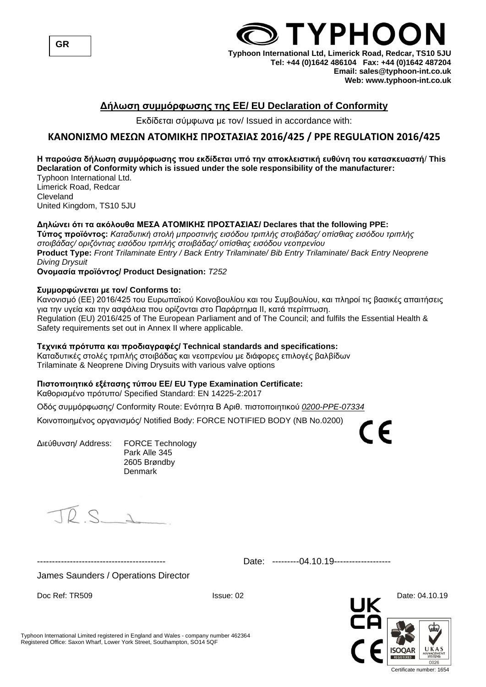

## **Δήλωση συμμόρφωσης της ΕΕ/ EU Declaration of Conformity**

Εκδίδεται σύμφωνα με τον/ Issued in accordance with:

## **ΚΑΝΟΝΙΣΜΟ ΜΕΣΩΝ ΑΤΟΜΙΚΗΣ ΠΡΟΣΤΑΣΙΑΣ 2016/425 / PPE REGULATION 2016/425**

## **Η παρούσα δήλωση συμμόρφωσης που εκδίδεται υπό την αποκλειστική ευθύνη του κατασκευαστή**/ **This Declaration of Conformity which is issued under the sole responsibility of the manufacturer:**

Typhoon International Ltd. Limerick Road, Redcar Cleveland United Kingdom, TS10 5JU

## **Δηλώνει ότι τα ακόλουθα ΜΕΣΑ ΑΤΟΜΙΚΗΣ ΠΡΟΣΤΑΣΙΑΣ/ Declares that the following PPE:**

**Τύπος προϊόντος:** *Καταδυτική στολή μπροστινής εισόδου τριπλής στοιβάδας/ οπίσθιας εισόδου τριπλής στοιβάδας/ οριζόντιας εισόδου τριπλής στοιβάδας/ οπίσθιας εισόδου νεοπρενίου* **Product Type:** *Front Trilaminate Entry / Back Entry Trilaminate/ Bib Entry Trilaminate/ Back Entry Neoprene Diving Drysuit*

**Ονομασία προϊόντος/ Product Designation:** *T252*

## **Συμμορφώνεται με τον/ Conforms to:**

Κανονισμό (ΕΕ) 2016/425 του Ευρωπαϊκού Κοινοβουλίου και του Συμβουλίου, και πληροί τις βασικές απαιτήσεις για την υγεία και την ασφάλεια που ορίζονται στο Παράρτημα ΙΙ, κατά περίπτωση. Regulation (EU) 2016/425 of The European Parliament and of The Council; and fulfils the Essential Health & Safety requirements set out in Annex II where applicable.

## **Τεχνικά πρότυπα και προδιαγραφές/ Technical standards and specifications:**

Καταδυτικές στολές τριπλής στοιβάδας και νεοπρενίου με διάφορες επιλογές βαλβίδων Trilaminate & Neoprene Diving Drysuits with various valve options

## **Πιστοποιητικό εξέτασης τύπου ΕΕ/ EU Type Examination Certificate:**

Καθορισμένο πρότυπο/ Specified Standard: EN 14225-2:2017

Οδός συμμόρφωσης/ Conformity Route: Ενότητα Β Αριθ. πιστοποιητικού *0200-PPE-07334*

Κοινοποιημένος οργανισμός/ Notified Body: FORCE NOTIFIED BODY (NB No.0200)

Διεύθυνση/ Address: FORCE Technology Park Alle 345 2605 Brøndby Denmark

 $D S$ 

------------------------------------------- Date: ---------04.10.19-------------------

James Saunders / Operations Director

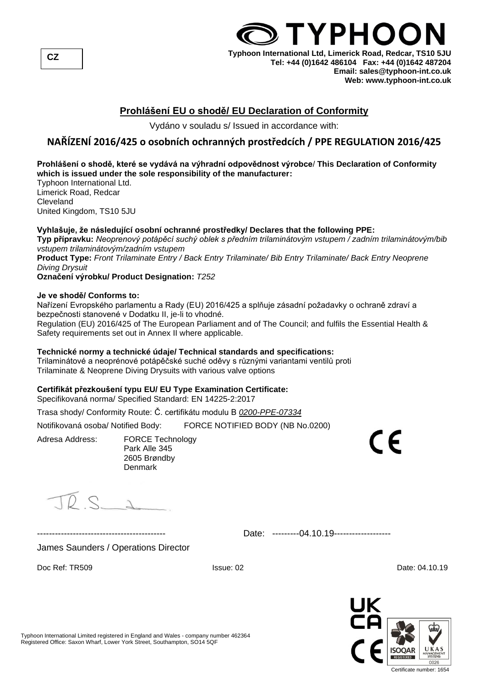

## **Prohlášení EU o shodě/ EU Declaration of Conformity**

Vydáno v souladu s/ Issued in accordance with:

## **NAŘÍZENÍ 2016/425 o osobních ochranných prostředcích / PPE REGULATION 2016/425**

## **Prohlášení o shodě, které se vydává na výhradní odpovědnost výrobce**/ **This Declaration of Conformity which is issued under the sole responsibility of the manufacturer:**

Typhoon International Ltd. Limerick Road, Redcar Cleveland United Kingdom, TS10 5JU

## **Vyhlašuje, že následující osobní ochranné prostředky/ Declares that the following PPE:**

**Typ přípravku:** *Neoprenový potápěcí suchý oblek s předním trilaminátovým vstupem / zadním trilaminátovým/bib vstupem trilaminátovým/zadním vstupem*

**Product Type:** *Front Trilaminate Entry / Back Entry Trilaminate/ Bib Entry Trilaminate/ Back Entry Neoprene Diving Drysuit*

**Označení výrobku/ Product Designation:** *T252*

#### **Je ve shodě/ Conforms to:**

Nařízení Evropského parlamentu a Rady (EU) 2016/425 a splňuje zásadní požadavky o ochraně zdraví a bezpečnosti stanovené v Dodatku II, je-li to vhodné.

Regulation (EU) 2016/425 of The European Parliament and of The Council; and fulfils the Essential Health & Safety requirements set out in Annex II where applicable.

## **Technické normy a technické údaje/ Technical standards and specifications:**

Trilaminátové a neoprénové potápěčské suché oděvy s různými variantami ventilů proti Trilaminate & Neoprene Diving Drysuits with various valve options

## **Certifikát přezkoušení typu EU/ EU Type Examination Certificate:**

Specifikovaná norma/ Specified Standard: EN 14225-2:2017

Trasa shody/ Conformity Route: Č. certifikátu modulu B *0200-PPE-07334*

Notifikovaná osoba/ Notified Body: FORCE NOTIFIED BODY (NB No.0200)

Adresa Address: FORCE Technology Park Alle 345 2605 Brøndby Denmark

 $\overline{D}$  s  $\overline{D}$ 

------------------------------------------- Date: ---------04.10.19-------------------

James Saunders / Operations Director

Doc Ref: TR509 **ISSUE: 02** Date: 04.10.19



C F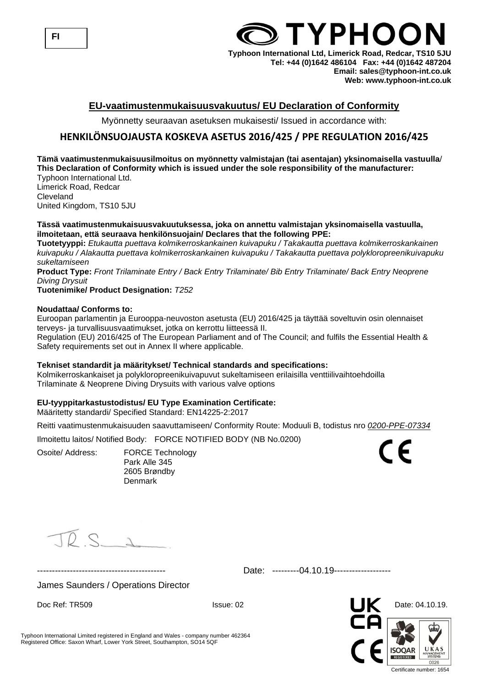

## **EU-vaatimustenmukaisuusvakuutus/ EU Declaration of Conformity**

Myönnetty seuraavan asetuksen mukaisesti/ Issued in accordance with:

## **HENKILÖNSUOJAUSTA KOSKEVA ASETUS 2016/425 / PPE REGULATION 2016/425**

#### **Tämä vaatimustenmukaisuusilmoitus on myönnetty valmistajan (tai asentajan) yksinomaisella vastuulla**/ **This Declaration of Conformity which is issued under the sole responsibility of the manufacturer:** Typhoon International Ltd.

Limerick Road, Redcar Cleveland United Kingdom, TS10 5JU

#### **Tässä vaatimustenmukaisuusvakuutuksessa, joka on annettu valmistajan yksinomaisella vastuulla, ilmoitetaan, että seuraava henkilönsuojain/ Declares that the following PPE:**

**Tuotetyyppi:** *Etukautta puettava kolmikerroskankainen kuivapuku / Takakautta puettava kolmikerroskankainen kuivapuku / Alakautta puettava kolmikerroskankainen kuivapuku / Takakautta puettava polykloropreenikuivapuku sukeltamiseen*

**Product Type:** *Front Trilaminate Entry / Back Entry Trilaminate/ Bib Entry Trilaminate/ Back Entry Neoprene Diving Drysuit*

#### **Tuotenimike/ Product Designation:** *T252*

#### **Noudattaa/ Conforms to:**

Euroopan parlamentin ja Eurooppa-neuvoston asetusta (EU) 2016/425 ja täyttää soveltuvin osin olennaiset terveys- ja turvallisuusvaatimukset, jotka on kerrottu liitteessä II.

Regulation (EU) 2016/425 of The European Parliament and of The Council; and fulfils the Essential Health & Safety requirements set out in Annex II where applicable.

#### **Tekniset standardit ja määritykset/ Technical standards and specifications:**

Kolmikerroskankaiset ja polykloropreenikuivapuvut sukeltamiseen erilaisilla venttiilivaihtoehdoilla Trilaminate & Neoprene Diving Drysuits with various valve options

## **EU-tyyppitarkastustodistus/ EU Type Examination Certificate:**

Määritetty standardi/ Specified Standard: EN14225-2:2017

Reitti vaatimustenmukaisuuden saavuttamiseen/ Conformity Route: Moduuli B, todistus nro *0200-PPE-07334*

Ilmoitettu laitos/ Notified Body: FORCE NOTIFIED BODY (NB No.0200)

Osoite/ Address: FORCE Technology Park Alle 345 2605 Brøndby **Denmark** 

 $D \subset$ 

Date: ---------04.10.19-------------------

James Saunders / Operations Director

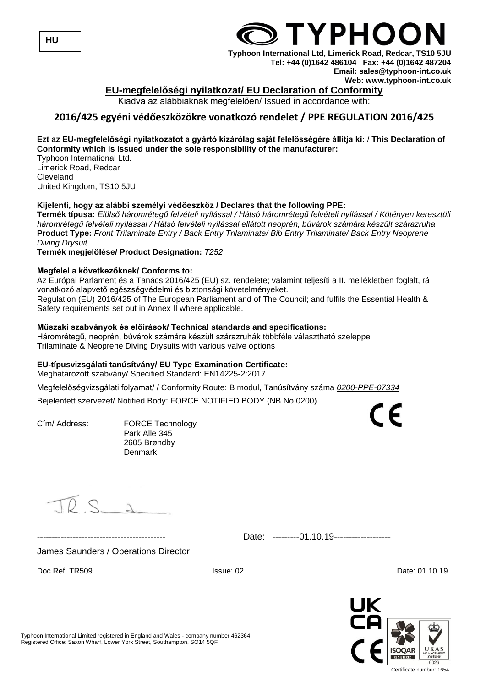

## **EU-megfelelőségi nyilatkozat/ EU Declaration of Conformity**

Kiadva az alábbiaknak megfelelően/ Issued in accordance with:

## **2016/425 egyéni védőeszközökre vonatkozó rendelet / PPE REGULATION 2016/425**

## **Ezt az EU-megfelelőségi nyilatkozatot a gyártó kizárólag saját felelősségére állítja ki:** / **This Declaration of Conformity which is issued under the sole responsibility of the manufacturer:**

Typhoon International Ltd. Limerick Road, Redcar Cleveland United Kingdom, TS10 5JU

## **Kijelenti, hogy az alábbi személyi védőeszköz / Declares that the following PPE:**

**Termék típusa:** *Elülső háromrétegű felvételi nyílással / Hátsó háromrétegű felvételi nyílással / Kötényen keresztüli háromrétegű felvételi nyílással / Hátsó felvételi nyílással ellátott neoprén, búvárok számára készült szárazruha* **Product Type:** *Front Trilaminate Entry / Back Entry Trilaminate/ Bib Entry Trilaminate/ Back Entry Neoprene Diving Drysuit*

**Termék megjelölése/ Product Designation:** *T252*

## **Megfelel a következőknek/ Conforms to:**

Az Európai Parlament és a Tanács 2016/425 (EU) sz. rendelete; valamint teljesíti a II. mellékletben foglalt, rá vonatkozó alapvető egészségvédelmi és biztonsági követelményeket. Regulation (EU) 2016/425 of The European Parliament and of The Council; and fulfils the Essential Health & Safety requirements set out in Annex II where applicable.

## **Műszaki szabványok és előírások/ Technical standards and specifications:**

Háromrétegű, neoprén, búvárok számára készült szárazruhák többféle választható szeleppel Trilaminate & Neoprene Diving Drysuits with various valve options

## **EU-típusvizsgálati tanúsítvány/ EU Type Examination Certificate:**

Meghatározott szabvány/ Specified Standard: EN14225-2:2017

Megfelelőségvizsgálati folyamat/ / Conformity Route: B modul, Tanúsítvány száma *0200-PPE-07334*

Bejelentett szervezet/ Notified Body: FORCE NOTIFIED BODY (NB No.0200)

Cím/ Address: FORCE Technology Park Alle 345 2605 Brøndby Denmark

 $D$   $\subset$   $\sim$ 

Date: ---------01.10.19--------------------

James Saunders / Operations Director

Doc Ref: TR509 **ISSUE: 02** Date: 01.10.19

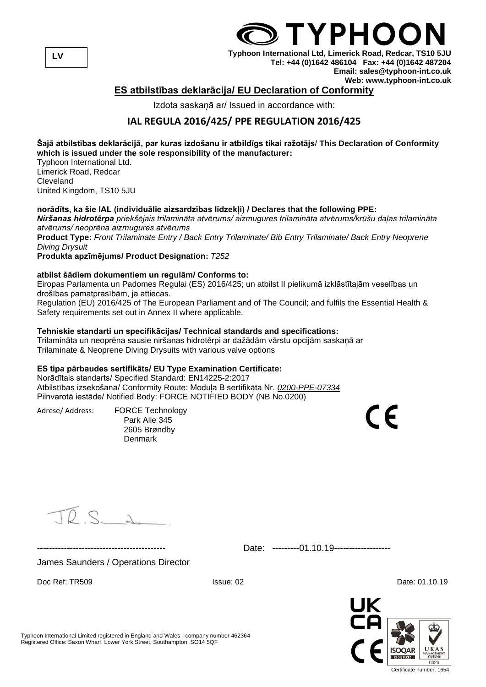**LV**

## **TYPHOC Typhoon International Ltd, Limerick Road, Redcar, TS10 5JU Tel: +44 (0)1642 486104 Fax: +44 (0)1642 487204 Email: sales@typhoon-int.co.uk**

#### **Web: www.typhoon-int.co.uk ES atbilstības deklarācija/ EU Declaration of Conformity**

Izdota saskaņā ar/ Issued in accordance with:

## **IAL REGULA 2016/425/ PPE REGULATION 2016/425**

## **Šajā atbilstības deklarācijā, par kuras izdošanu ir atbildīgs tikai ražotājs**/ **This Declaration of Conformity which is issued under the sole responsibility of the manufacturer:**

Typhoon International Ltd. Limerick Road, Redcar **Cleveland** United Kingdom, TS10 5JU

## **norādīts, ka šie IAL (individuālie aizsardzības līdzekļi) / Declares that the following PPE:**

*Niršanas hidrotērpa priekšējais trilamināta atvērums/ aizmugures trilamināta atvērums/krūšu daļas trilamināta atvērums/ neoprēna aizmugures atvērums*

**Product Type:** *Front Trilaminate Entry / Back Entry Trilaminate/ Bib Entry Trilaminate/ Back Entry Neoprene Diving Drysuit*

**Produkta apzīmējums/ Product Designation:** *T252*

## **atbilst šādiem dokumentiem un regulām/ Conforms to:**

Eiropas Parlamenta un Padomes Regulai (ES) 2016/425; un atbilst II pielikumā izklāstītajām veselības un drošības pamatprasībām, ja attiecas.

Regulation (EU) 2016/425 of The European Parliament and of The Council; and fulfils the Essential Health & Safety requirements set out in Annex II where applicable.

## **Tehniskie standarti un specifikācijas/ Technical standards and specifications:**

Trilamināta un neoprēna sausie niršanas hidrotērpi ar dažādām vārstu opcijām saskaņā ar Trilaminate & Neoprene Diving Drysuits with various valve options

## **ES tipa pārbaudes sertifikāts/ EU Type Examination Certificate:**

Norādītais standarts/ Specified Standard: EN14225-2:2017 Atbilstības izsekošana/ Conformity Route: Moduļa B sertifikāta Nr. *0200-PPE-07334* Pilnvarotā iestāde/ Notified Body: FORCE NOTIFIED BODY (NB No.0200)

Adrese/ Address: FORCE Technology

Park Alle 345 2605 Brøndby Denmark

 $DS_A$ 

------------------------------------------- Date: ---------01.10.19-------------------

James Saunders / Operations Director

Doc Ref: TR509 **ISSUE: 02** Date: 01.10.19



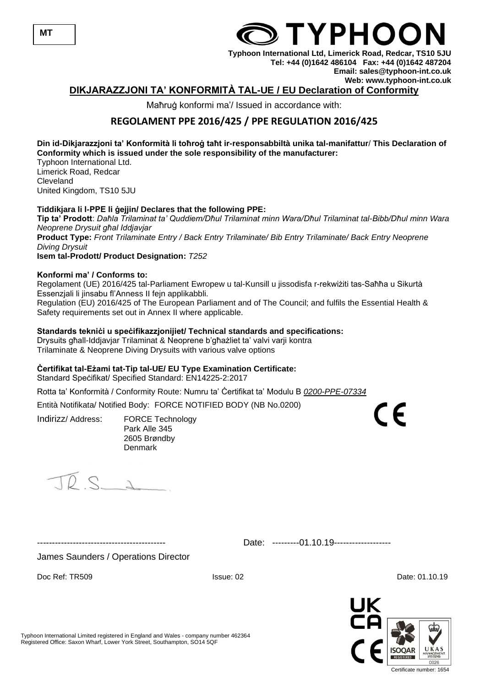

Doc Ref: TR509 **ISSUE: 02** Date: 01.10.19

Typhoon International Limited registered in England and Wales - company number 462364 Registered Office: Saxon Wharf, Lower York Street, Southampton, SO14 5QF

## Maħruġ konformi ma'/ Issued in accordance with:

## **REGOLAMENT PPE 2016/425 / PPE REGULATION 2016/425**

#### **Din id-Dikjarazzjoni ta' Konformità li toħroġ taħt ir-responsabbiltà unika tal-manifattur**/ **This Declaration of Conformity which is issued under the sole responsibility of the manufacturer:**

Typhoon International Ltd. Limerick Road, Redcar **Cleveland** United Kingdom, TS10 5JU

## **Tiddikjara li l-PPE li ġejjin/ Declares that the following PPE:**

**Tip ta' Prodott**: *Daħla Trilaminat ta' Quddiem/Dħul Trilaminat minn Wara/Dħul Trilaminat tal-Bibb/Dħul minn Wara Neoprene Drysuit għal Iddjavjar* **Product Type:** *Front Trilaminate Entry / Back Entry Trilaminate/ Bib Entry Trilaminate/ Back Entry Neoprene Diving Drysuit* **Isem tal-Prodott/ Product Designation:** *T252*

## **Konformi ma' / Conforms to:**

Regolament (UE) 2016/425 tal-Parliament Ewropew u tal-Kunsill u jissodisfa r-rekwiżiti tas-Saħħa u Sikurtà Essenzjali li jinsabu fl'Anness II fejn applikabbli. Regulation (EU) 2016/425 of The European Parliament and of The Council; and fulfils the Essential Health & Safety requirements set out in Annex II where applicable.

## **Standards tekniċi u speċifikazzjonijiet/ Technical standards and specifications:**

Drysuits għall-Iddjavjar Trilaminat & Neoprene b'għażliet ta' valvi varji kontra

Trilaminate & Neoprene Diving Drysuits with various valve options

## **Ċertifikat tal-Eżami tat-Tip tal-UE/ EU Type Examination Certificate:**

Standard Speċifikat/ Specified Standard: EN14225-2:2017

Rotta ta' Konformità / Conformity Route: Numru ta' Ċertifikat ta' Modulu B *0200-PPE-07334*

Entità Notifikata/ Notified Body: FORCE NOTIFIED BODY (NB No.0200)

Indirizz/ Address: FORCE Technology Park Alle 345 2605 Brøndby Denmark

 $D S$ 

------------------------------------------- Date: ---------01.10.19-------------------

0026 Certificate number: 1654



**TYPHOO** 

**Typhoon International Ltd, Limerick Road, Redcar, TS10 5JU Tel: +44 (0)1642 486104 Fax: +44 (0)1642 487204 Email: sales@typhoon-int.co.uk Web: www.typhoon-int.co.uk DIKJARAZZJONI TA' KONFORMITÀ TAL-UE / EU Declaration of Conformity**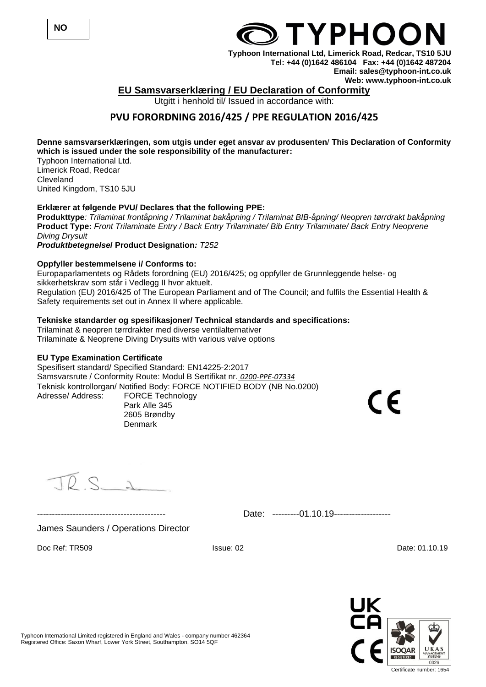

## **TYPHOC**

**Typhoon International Ltd, Limerick Road, Redcar, TS10 5JU Tel: +44 (0)1642 486104 Fax: +44 (0)1642 487204 Email: sales@typhoon-int.co.uk Web: www.typhoon-int.co.uk** 

## **EU Samsvarserklæring / EU Declaration of Conformity**

Utgitt i henhold til/ Issued in accordance with:

## **PVU FORORDNING 2016/425 / PPE REGULATION 2016/425**

## **Denne samsvarserklæringen, som utgis under eget ansvar av produsenten**/ **This Declaration of Conformity which is issued under the sole responsibility of the manufacturer:**

Typhoon International Ltd. Limerick Road, Redcar Cleveland United Kingdom, TS10 5JU

## **Erklærer at følgende PVU/ Declares that the following PPE:**

**Produkttype***: Trilaminat frontåpning / Trilaminat bakåpning / Trilaminat BIB-åpning/ Neopren tørrdrakt bakåpning* **Product Type:** *Front Trilaminate Entry / Back Entry Trilaminate/ Bib Entry Trilaminate/ Back Entry Neoprene Diving Drysuit*

*Produktbetegnelse***/ Product Designation***: T252*

## **Oppfyller bestemmelsene i/ Conforms to:**

Europaparlamentets og Rådets forordning (EU) 2016/425; og oppfyller de Grunnleggende helse- og sikkerhetskrav som står i Vedlegg II hvor aktuelt. Regulation (EU) 2016/425 of The European Parliament and of The Council; and fulfils the Essential Health & Safety requirements set out in Annex II where applicable.

## **Tekniske standarder og spesifikasjoner/ Technical standards and specifications:**

Trilaminat & neopren tørrdrakter med diverse ventilalternativer Trilaminate & Neoprene Diving Drysuits with various valve options

Denmark

## **EU Type Examination Certificate**

Spesifisert standard/ Specified Standard: EN14225-2:2017 Samsvarsrute / Conformity Route: Modul B Sertifikat nr. *0200-PPE-07334* Teknisk kontrollorgan/ Notified Body: FORCE NOTIFIED BODY (NB No.0200) Adresse/ Address: FORCE Technology Park Alle 345 2605 Brøndby

 $\epsilon$ 

 $D$   $\subset$   $\sim$ 

------------------------------------------- Date: ---------01.10.19-------------------

## James Saunders / Operations Director

Doc Ref: TR509 Issue: 02 Date: 01.10.19

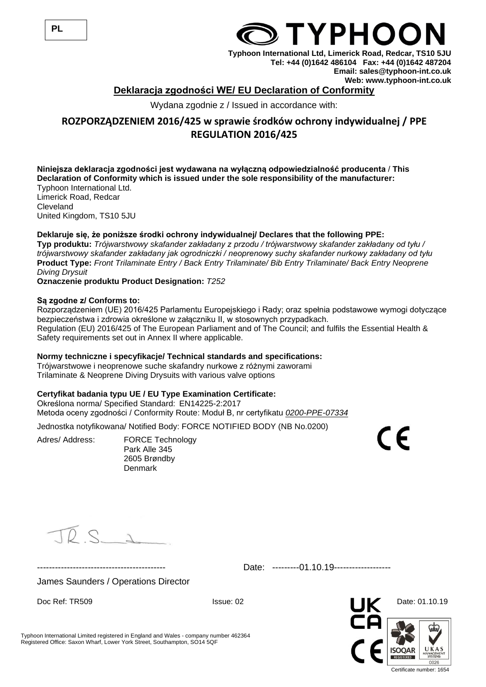## **Deklaracja zgodności WE/ EU Declaration of Conformity**

Wydana zgodnie z / Issued in accordance with:

## **ROZPORZĄDZENIEM 2016/425 w sprawie środków ochrony indywidualnej / PPE REGULATION 2016/425**

## **Niniejsza deklaracja zgodności jest wydawana na wyłączną odpowiedzialność producenta** / **This Declaration of Conformity which is issued under the sole responsibility of the manufacturer:**

Typhoon International Ltd. Limerick Road, Redcar **Cleveland** United Kingdom, TS10 5JU

## **Deklaruje się, że poniższe środki ochrony indywidualnej/ Declares that the following PPE:**

**Typ produktu:** *Trójwarstwowy skafander zakładany z przodu / trójwarstwowy skafander zakładany od tyłu / trójwarstwowy skafander zakładany jak ogrodniczki / neoprenowy suchy skafander nurkowy zakładany od tyłu* **Product Type:** *Front Trilaminate Entry / Back Entry Trilaminate/ Bib Entry Trilaminate/ Back Entry Neoprene Diving Drysuit*

**Oznaczenie produktu Product Designation:** *T252*

#### **Są zgodne z/ Conforms to:**

Rozporządzeniem (UE) 2016/425 Parlamentu Europejskiego i Rady; oraz spełnia podstawowe wymogi dotyczące bezpieczeństwa i zdrowia określone w załączniku II, w stosownych przypadkach. Regulation (EU) 2016/425 of The European Parliament and of The Council; and fulfils the Essential Health & Safety requirements set out in Annex II where applicable.

## **Normy techniczne i specyfikacje/ Technical standards and specifications:**

Trójwarstwowe i neoprenowe suche skafandry nurkowe z różnymi zaworami Trilaminate & Neoprene Diving Drysuits with various valve options

## **Certyfikat badania typu UE / EU Type Examination Certificate:**

Określona norma/ Specified Standard: EN14225-2:2017 Metoda oceny zgodności / Conformity Route: Moduł B, nr certyfikatu *0200-PPE-07334*

Jednostka notyfikowana/ Notified Body: FORCE NOTIFIED BODY (NB No.0200)

Adres/ Address: FORCE Technology Park Alle 345 2605 Brøndby Denmark

 $\epsilon$ 

 $DS_A$ 

------------------------------------------- Date: ---------01.10.19-------------------

James Saunders / Operations Director

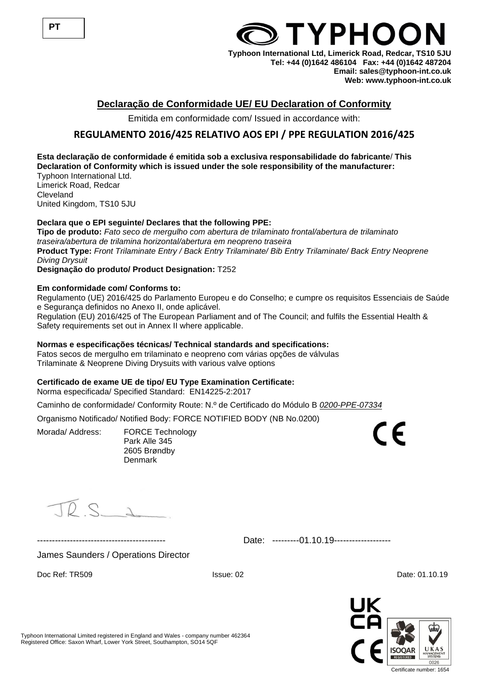

## **Declaração de Conformidade UE/ EU Declaration of Conformity**

Emitida em conformidade com/ Issued in accordance with:

## **REGULAMENTO 2016/425 RELATIVO AOS EPI / PPE REGULATION 2016/425**

#### **Esta declaração de conformidade é emitida sob a exclusiva responsabilidade do fabricante**/ **This Declaration of Conformity which is issued under the sole responsibility of the manufacturer:**

Typhoon International Ltd. Limerick Road, Redcar Cleveland United Kingdom, TS10 5JU

## **Declara que o EPI seguinte/ Declares that the following PPE:**

**Tipo de produto:** *Fato seco de mergulho com abertura de trilaminato frontal/abertura de trilaminato traseira/abertura de trilamina horizontal/abertura em neopreno traseira* **Product Type:** *Front Trilaminate Entry / Back Entry Trilaminate/ Bib Entry Trilaminate/ Back Entry Neoprene Diving Drysuit* **Designação do produto/ Product Designation:** T252

**Em conformidade com/ Conforms to:**

Regulamento (UE) 2016/425 do Parlamento Europeu e do Conselho; e cumpre os requisitos Essenciais de Saúde e Segurança definidos no Anexo II, onde aplicável. Regulation (EU) 2016/425 of The European Parliament and of The Council; and fulfils the Essential Health &

Safety requirements set out in Annex II where applicable.

## **Normas e especificações técnicas/ Technical standards and specifications:**

Fatos secos de mergulho em trilaminato e neopreno com várias opções de válvulas Trilaminate & Neoprene Diving Drysuits with various valve options

## **Certificado de exame UE de tipo/ EU Type Examination Certificate:**

Norma especificada/ Specified Standard: EN14225-2:2017

Caminho de conformidade/ Conformity Route: N.º de Certificado do Módulo B *0200-PPE-07334*

Organismo Notificado/ Notified Body: FORCE NOTIFIED BODY (NB No.0200)

Morada/ Address: FORCE Technology Park Alle 345 2605 Brøndby Denmark

 $DS_{\lambda}$ 

Date: ---------01.10.19-------------------

James Saunders / Operations Director

Doc Ref: TR509 **ISSUE: 02** Date: 01.10.19